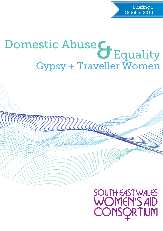Briefing 1 October 2010

# Gypsy + Traveller Women Domestic Abuse & Equality

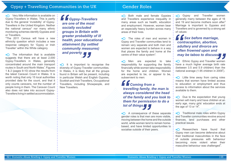$\bigcap$  Very little information is available on Gypsy-Travellers in Wales. This is partly due to the general 'invisibility' of Gypsy-Travellers in the United Kingdom. Neither the national census\* nor many ethnic monitoring schemes identify Gypsies and/ or Travellers.

\*The 2011 Census will have a new ethnicity question which includes a new response category for 'Gypsy or Irish Traveller' within the White category.

 $+$  The information that is available suggests that there are at least 2,000 Gypsy-Travellers in Wales, generally concentrated around the main transport routes in South and North Wales<sup>1</sup>. Figures 1 & 2 (pages 9-10) show the results from the latest Caravan Count in Wales. It is worth noting that only 15 local authorities provided data for the count, and that it only counts caravans, not the number of people living in them. The Caravan Count also does not take into account Gypsy-Travellers living in settled accommodation.

 $\bigoplus$  Both male and female Gypsies and Travellers experience inequality in many areas such as health, education and employment. However, women bear an especially heavy burden across many areas of their lives.

 $+$  The roles of men and women in Gypsy and Traveller communities tend to remain very separate and both men and women are expected to behave in a way that places the family and home at the centre of their value system $3$ .

 $\bigoplus$  Men are expected to take responsibility for supporting the family financially while women take responsibility for the home and children. Women are expected to be, or appear to be, subservient to men:

**+O** Gypsy and Traveller women generally marry between the ages of 16 and 19 and become mothers soon after.<sup>5</sup> Marriage is important to Gypsies and Travellers and is governed by a strong set of values:

 $\pm$  Little time away from caring roles means that women have limited access to education or employment and thus access to information about the services available to them.

 $\bigcap$  Due to the expectation that young women will marry and have children at an early age, many girls' education ends at the age of 13 or  $14^8$ .

## Gypsy + Travelling Communities in the UK

 $+$  Traditional male roles within Gypsy and Traveller communities revolve around finances, land purchases and other practical issues.

**+O** Researchers have found that Gypsy men can become defensive about their traditional masculinities in the face of outside pressures with behaviour becoming more violent when their masculine behaviour was challenged<sup>9</sup>.

A consequence of these separate gender roles is that men are more visible, moving between the home and the outside world, while women tend to remain homebased, and have limited opportunities to socialise outside of their peers.

*Gypsy-Travellers are one of the most socially excluded groups in Britain with greater probability of ill health, poor educational attainment (by settled community measures) and poverty* **F**<br>**are**<br>soc<br>gro 2

 $\bigcup$  It is important to recognise the diversity of Gypsy-Traveller communities. In Wales, it is likely that all the groups found in Britain will be present, including in particular Welsh and English Gypsies, Scottish and Irish Travellers, Occupational Travellers, including Showpeople, and New Travellers. y<br>
rtant to<br> *y*-Travell<br>
kely that

## Gender Roles

*Coming from a travelling family, the man is always considered the head of the family and you look to them for permission to do a lot of things "* 4

*Sex before marriage, contraception, abortion, adultery and divorce are often frowned upon and may be taboo to discuss"* **6**<br> **con**<br> **adu**<br> **ofte** 6

**+O** Ethnic Gypsy and Traveller women have a much higher average birth rate (between 3.5 and 5.9 children) than the national average (1.95 children in 2009 $\degree$ ).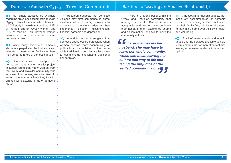While many incidents of domestic abuse are perpetrated by husbands and intimate partners, other family members may be perpetrators of domestic abuse $1!$ 

 $+$ O Domestic abuse is accepted as normal for many women. A pilot project in Leeds found that many women from the Gypsy and Traveller community who accessed their training were surprised to learn that many behaviours they took for granted were actually forms of domestic abuse .

 $\bigcup$  Research suggests that domestic violence may first commence in some incidents when a family moves into a house and tensions arise as they experience isolation, discrimination, financial hardship and depression $12$ 

 $\bigcap$  There is a strong belief within the : Gypsy and Traveller community that marriage is for life. Divorce is rarely acceptable and women who do leave their husband often experience shame and discrimination, or have to leave the community entirely:

- $\bigcap$  Anecdotal information suggests that insecurely accommodated or nomadic women experiencing violence will often put their family first, prioritising the need to maintain a home over their own health and well-being.
- A lack of awareness about domestic  $\Theta$ + abuse and the services available to help victims means that women often feel that leaving an abusive relationship is not an option.

Anecdotal evidence suggests that domestic abuse occurs particularly when women become more economically or politically active outside of the home while traditional male roles are less easy to sustain<sup>13</sup> thus challenging traditional gender roles.

## Domestic Abuse in Gypsy + Traveller Communities

## Barriers to Leaving an Abusive Relationship

 $\bigcap$  No reliable statistics are available : regarding prevalence of domestic abuse in Gypsy + Traveller communities, however a 2007 study in Wrexham found that 61% of married English Gypsy women and 81% of married Irish Traveller women interviewed had experienced direct: domestic abuse<sup>10</sup>.

*If a woman leaves her husband, she may have to leave her whole community, which can mean leaving her culture and way of life and facing the prejudice of the settled population alone "* **f**<br> **hus**<br> **leav**<br> **whi** 14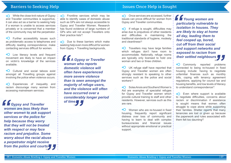## Barriers to Seeking Help

 $\bigcap$  Once services are accessed, further issues can prove difficult for women from Gypsy and Traveller communities.

 $+$  If refuge is sought, difficulties may arise due to prejudices of other residents and difficulties in maintaining the traditional standards of hygiene, modesty and cleanliness<sup>18</sup>.

 $+$ O Travellers may have large families which refuges don't have room to accommodate. Nationally, refuge rooms are typically only licensed to hold one woman and two or three children.

UK refuge staff have reported that Gypsy and Traveller women are often strongly resistant to speaking to other services such as the police and social workers<sup>19</sup>

 $+$ O Women who are re-housed in fixed housing, frequently report significant distress over loss of community and having to learn to deal with complex bureaucracies and financial issues without appropriate emotional or practical support.

Even where support is available to negotiate difficulties, concerns about racism or discrimination if assistance is sought means that women often struggle to cope alone while supporting their families. Shelter reports that many tenancies are lost or given up because the paperwork and rules associated with them felt too daunting<sup>22</sup>.

Solas Anois and Southend Women's  $\bigcap$ Aid are examples of specialist refuges for Gypsy and Traveller women which provide cultural training to staff and other residents. However, services such as this are rare.

**+∩** While the close-knit nature of Gypsy and Traveller communities is supportive, it can also act as a barrier to seeking help if a woman is unable to access services privately or is concerned that a member of the community may tell the perpetrator.

**+O** Further accessibility issues such as problematic access to telephones and difficulty reading correspondence; make contacting services difficult for women.

 $+$ O Cultural and social taboos exist amongst all Travelling groups against involving the police when violence occurs.

 $\bigcap$  Due to these barriers which make seeking help even more difficult for women from Gypsy + Travelling backgrounds,

*A Gypsy or Traveller woman who reports domestic violence will often have experienced more severe violence than is seen amongst the majority of refuge users, and the violence will often have occurred over a considerably longer period*  of time **C**<br>*WOI*<br>don<br>ofte

## Issues Once Help is Sought

Low literacy levels and frequent movement are likely to have an impact on victim's knowledge of the services available.

Experiences of inequality and  $\bigcap$ racism discourage many women from accessing mainstream services:

*Gypsy and Traveller women are less likely than other women to ask support services or the police for help because they worry that they will not be treated with respect or may face racism and prejudice. Some worry about the racial abuse a perpetrator might receive*  from the police and courts<sup>"</sup> **f**<br>*woll*<br>oth<br>ser 15

 $\bigcup$  Frontline services which may be able to identify cases of domestic abuse such as GPs are not always accessible to Gypsy and Traveller Women. Research has found evidence of large numbers of GPs who will not accept Travellers onto their practice lists<sup>16</sup>

*Young women are particularly vulnerable to isolation in houses. They are likely to stay at home all day, leading them to feel cooped up, bored, cut off from their social and support networks and exposed to racism from their settled neighbours"* **:**<br>*"*"<br>*"*"<br>*"*"<br>*"*" *isol*<br>*"*" are 20

**+O** Commonly reported problems connected to being re-housed in fixed housing include: having to negotiate unfamiliar finances such as monthly bills, coping with tenancy agreement regulations, applying for council tax and housing benefits, and low levels of literacy to understand correspondence<sup>21</sup>

17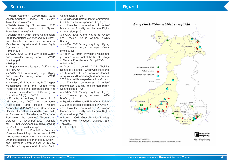| Sources                                                                                                                                                                                                                                                                                                                                                                                                                                                                                                                                                                                                                                                                                                                                                                                                                                                                                                                                                                                                                                                                                                                                                                                                                                                                                                                                                                                                                                                                                                                                                                                                                                                                                                                                                                                                                                                                                                                                                                                                                                                                                                                                                                                                                                                                                                                                                                                                                                                                                                                                                                                                                                                                                                                                                                                                                                                                                                                         | Figure 1                                                                                                                                                                                                                                                                                  |
|---------------------------------------------------------------------------------------------------------------------------------------------------------------------------------------------------------------------------------------------------------------------------------------------------------------------------------------------------------------------------------------------------------------------------------------------------------------------------------------------------------------------------------------------------------------------------------------------------------------------------------------------------------------------------------------------------------------------------------------------------------------------------------------------------------------------------------------------------------------------------------------------------------------------------------------------------------------------------------------------------------------------------------------------------------------------------------------------------------------------------------------------------------------------------------------------------------------------------------------------------------------------------------------------------------------------------------------------------------------------------------------------------------------------------------------------------------------------------------------------------------------------------------------------------------------------------------------------------------------------------------------------------------------------------------------------------------------------------------------------------------------------------------------------------------------------------------------------------------------------------------------------------------------------------------------------------------------------------------------------------------------------------------------------------------------------------------------------------------------------------------------------------------------------------------------------------------------------------------------------------------------------------------------------------------------------------------------------------------------------------------------------------------------------------------------------------------------------------------------------------------------------------------------------------------------------------------------------------------------------------------------------------------------------------------------------------------------------------------------------------------------------------------------------------------------------------------------------------------------------------------------------------------------------------------|-------------------------------------------------------------------------------------------------------------------------------------------------------------------------------------------------------------------------------------------------------------------------------------------|
| 1. Welsh Assembly Government, 2006 Commission, p.138<br>needs of Gypsy- • 13. Equality and Human Rights Commission,<br>'Accommodation<br>Travellers in Wales' p.2<br>2009 'Inequalities experienced by Gypsy<br>2. Welsh Assembly Government, 2006 and Traveller communities: A review<br>'Accommodation<br>needs of Gypsy- Manchester, Equality and Human Rights<br>Travellers in Wales' p.2<br>Commission, p.231<br>3. Equality and Human Rights Commission, • 14. YWCA, 2006 'A long way to go: Gypsy<br>2009 'Inequalities experienced by Gypsy • and Traveller young women' YWCA<br>and Traveller communities: A review • Briefing, p.6<br>Manchester, Equality and Human Rights . 15. YWCA, 2006 A long way to go: Gypsy<br>Commission, p.226<br>and Traveller young women' YWCA<br>4. Ibid, p.225<br>Briefing, p.6<br>5. YWCA, 2006 'A long way to go: Gypsy • 16. Feder, G, 1989 'Traveller gypsies and<br>and Traveller young women' YWCA • primary care' Journal of the Royal College<br>Briefing, p.4<br>of General Practitioners, 39, pp425-9<br>$6.$ Ibid, p.4<br>17. Ibid, p. 140<br>18. Greenwich Council, 2005 'Tackling<br>7. http://www.statistics.gov.uk/cci/nugget.<br>$asp?id = 369$<br>Domestic Violence - Greenwich Resource<br>8. YWCA, 2006 'A long way to go: Gypsy . and Information Pack' Greenwich Council<br>and Traveller young women' YWCA : 19 Equality and Human Rights Commission,<br>2009 'Inequalities experienced by Gypsy<br>Briefing, p.7<br>and Traveller communities: A review'<br>9. Levinson, M. & Sparkes, A, 2003 'Gypsy .<br><b>Masculinities</b><br>and the School-Home • Manchester, Equality and Human Rights<br>Interface: exploring contradictions and Commission, p.142<br>tensions' British Journal of Sociology of : 20. YWCA, 2006 'A long way to go: Gypsy<br>Education, 24 (5), pp.597-9 <b>19. Comparished Studies 2</b> and Traveller young women' YWCA<br>10. Roberts, A. Adkins, J. Lewis, H. & • Briefing, p.4<br>Wilkinson, C, 2007 'In Community · 21. Equality and Human Rights Commission,<br>Health Visitors' 2009 'Inequalities experienced by Gypsy<br>Practitioners'<br>and<br>Association (CPHVA) Annual Conference, and Traveller communities: A review<br>Coronary Heart Disease and Mental Health : Manchester, Equality and Human Rights<br>in Gypsies and Travellers in Wrexham: • Commission, p.230<br>Redressing the balance' Torquay, 31 · 22 Shelter, 2007 'Good Practice Briefing:<br>October – 2 November 2007. Available • Working with Housed Gypsies and<br>http://www.amicus-cphva.org/pdf/ Travellers'<br>at:<br>: London: Shelter<br>B2.2%20Helen%20Lewis.pdf<br>11. Leeds GATE, 'One Punch Kills' Domestic<br><b>Violence Project Report from Leeds GATE</b><br>12. Equality and Human Rights Commission,<br>2009 'Inequalities experienced by Gypsy<br>and Traveller communities: A review'<br>Manchester, Equality and Human Rights | Gypsy sites in Wales on 28th<br>Authorised Socially Rented<br>Authorised Private<br>Unauthorised Gypsy Owned Land<br>No Data<br>Ceredigion<br>Pemilie oken him<br>Source: Statistical Directorate. ESH<br>C Crown copyright 2010. All rights reserved. Welsh Assembly Government. Licence |



Humber: 100017916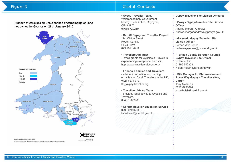## Figure 2

#### • **Gypsy-Traveller Team**,

Welsh Assembly Government Merthyr Tydfil Office, Rhydycar, CF48 1UZ 01685 729210

#### • **Cardiff Gypsy and Traveller Project**

114, Clifton Street Roath, Cardiff, CF24 1LW 029 2021 4411

#### • **Travellers Aid Trust**

– small grants for Gypsies & Travellers experiencing exceptional hardship http://www.travellersaidtrust.org/

### • **Friends, Families and Travellers**

- advice, information and training organisation for all Travellers in the UK, 01273 234 777, fft@gypsy-traveller.org

#### • **Travellers Advice Team**



Number of caravans on unauthorised encampments on land not owned by Gypsies on 28th January 2010





- provides legal advice to Gypsies and Travellers, 0845 120 2980

• **Cardiff Traveller Education Service** 029 2079 0211, travellered@cardiff.gov.uk

#### **Gypsy-Traveller Site Liaison Officers:**

#### • **Powys Gypsy-Traveller Site Liaison Officer**

Andree Morgan Andrews, Andree.morganandrews@powys.gov.uk

#### • **Gwynedd Gypsy-Traveller Site Liaison Officer**

Bethan Wyn Jones, bethanwynjones@gwynedd.gov.uk

#### • **Torfaen County Borough Council Gypsy-Traveller Site Officer**

Nolan Nicklin, 01495 742303, Nolan.Nicklin@torfaen.gov.uk

#### • **Site Manager for Shirenewton and Rover Way Gypsy - Traveller sites, Cardiff**

Tony Melhuish, 0292 0791694, a.melhuish@cardiff.gov.uk

## Useful Contacts